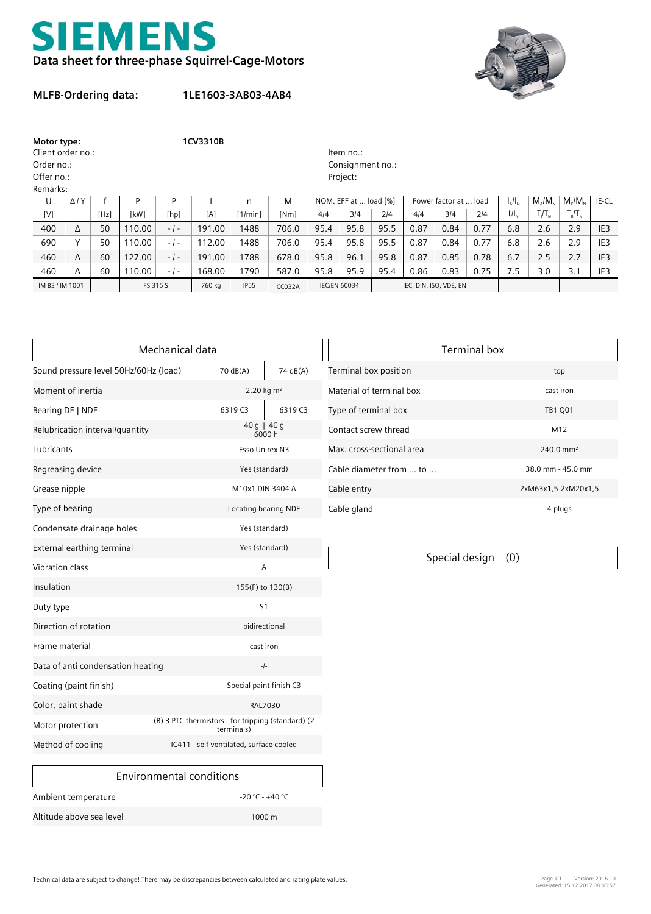



## **MLFB-Ordering data:**

**1LE1603-3AB03-4AB4**

| Motor type:<br>Client order no.: |                |      |          | 1CV3310B         |        |             |               |                     | Item no.:             |                        |      |                       |      |               |               |                   |                 |
|----------------------------------|----------------|------|----------|------------------|--------|-------------|---------------|---------------------|-----------------------|------------------------|------|-----------------------|------|---------------|---------------|-------------------|-----------------|
| Order no.:                       |                |      |          | Consignment no.: |        |             |               |                     |                       |                        |      |                       |      |               |               |                   |                 |
| Offer no.:                       |                |      |          | Project:         |        |             |               |                     |                       |                        |      |                       |      |               |               |                   |                 |
| Remarks:                         |                |      |          |                  |        |             |               |                     |                       |                        |      |                       |      |               |               |                   |                 |
| U                                | $\Delta$ / $Y$ |      | P        | P                |        | n           | M             |                     | NOM. EFF at  load [%] |                        |      | Power factor at  load |      | $I_{A}/I_{N}$ | $M/M_{\odot}$ | $M_{\nu}/M_{\nu}$ | IE-CL           |
| [V]                              |                | [Hz] | [kW]     | [hp]             | [A]    | [1/min]     | [Nm]          | 4/4                 | 3/4                   | 214                    | 4/4  | 3/4                   | 214  | $I/I_{N}$     | $T/T_{N}$     | $T_R/T_N$         |                 |
| 400                              | Δ              | 50   | 110.00   | $-1-$            | 191.00 | 1488        | 706.0         | 95.4                | 95.8                  | 95.5                   | 0.87 | 0.84                  | 0.77 | 6.8           | 2.6           | 2.9               | IE <sub>3</sub> |
| 690                              |                | 50   | 110.00   | $-1-$            | 112.00 | 1488        | 706.0         | 95.4                | 95.8                  | 95.5                   | 0.87 | 0.84                  | 0.77 | 6.8           | 2.6           | 2.9               | IE <sub>3</sub> |
| 460                              | Δ              | 60   | 127.00   | $-1-$            | 191.00 | 1788        | 678.0         | 95.8                | 96.1                  | 95.8                   | 0.87 | 0.85                  | 0.78 | 6.7           | 2.5           | 2.7               | IE <sub>3</sub> |
| 460                              | Δ              | 60   | 110.00   | $-1-$            | 168.00 | 1790        | 587.0         | 95.8                | 95.9                  | 95.4                   | 0.86 | 0.83                  | 0.75 | 7.5           | 3.0           | 3.1               | IE <sub>3</sub> |
| IM B3 / IM 1001                  |                |      | FS 315 S |                  | 760 kg | <b>IP55</b> | <b>CC032A</b> | <b>IEC/EN 60034</b> |                       | IEC, DIN, ISO, VDE, EN |      |                       |      |               |               |                   |                 |

|                                       | Mechanical data                                                  | <b>Terminal box</b>     |                           |                       |  |  |
|---------------------------------------|------------------------------------------------------------------|-------------------------|---------------------------|-----------------------|--|--|
| Sound pressure level 50Hz/60Hz (load) | 70 dB(A)                                                         | 74 dB(A)                | Terminal box position     | top                   |  |  |
| Moment of inertia                     |                                                                  | 2.20 kg m <sup>2</sup>  | Material of terminal box  | cast iron             |  |  |
| Bearing DE   NDE                      | 6319 C3                                                          | 6319 C3                 | Type of terminal box      | <b>TB1 Q01</b>        |  |  |
| Relubrication interval/quantity       |                                                                  | 40 g   40 g<br>6000h    | Contact screw thread      | M12                   |  |  |
| Lubricants                            |                                                                  | Esso Unirex N3          | Max. cross-sectional area | 240.0 mm <sup>2</sup> |  |  |
| Regreasing device                     |                                                                  | Yes (standard)          | Cable diameter from  to   | 38.0 mm - 45.0 mm     |  |  |
| Grease nipple                         |                                                                  | M10x1 DIN 3404 A        | Cable entry               | 2xM63x1,5-2xM20x1     |  |  |
| Type of bearing                       |                                                                  | Locating bearing NDE    | Cable gland               | 4 plugs               |  |  |
| Condensate drainage holes             |                                                                  | Yes (standard)          |                           |                       |  |  |
| External earthing terminal            |                                                                  | Yes (standard)          |                           | (0)                   |  |  |
| <b>Vibration class</b>                |                                                                  | Α                       | Special design            |                       |  |  |
| Insulation                            |                                                                  | 155(F) to 130(B)        |                           |                       |  |  |
| Duty type                             |                                                                  | S <sub>1</sub>          |                           |                       |  |  |
| Direction of rotation                 |                                                                  | bidirectional           |                           |                       |  |  |
| Frame material                        |                                                                  | cast iron               |                           |                       |  |  |
| Data of anti condensation heating     |                                                                  | $-1-$                   |                           |                       |  |  |
| Coating (paint finish)                |                                                                  | Special paint finish C3 |                           |                       |  |  |
| Color, paint shade                    |                                                                  | RAL7030                 |                           |                       |  |  |
| Motor protection                      | (B) 3 PTC thermistors - for tripping (standard) (2<br>terminals) |                         |                           |                       |  |  |
| Method of cooling                     | IC411 - self ventilated, surface cooled                          |                         |                           |                       |  |  |

| Terminal box              |                      |  |  |  |  |
|---------------------------|----------------------|--|--|--|--|
| Terminal box position     | top                  |  |  |  |  |
| Material of terminal box  | cast iron            |  |  |  |  |
| Type of terminal box      | <b>TB1 Q01</b>       |  |  |  |  |
| Contact screw thread      | M <sub>12</sub>      |  |  |  |  |
| Max. cross-sectional area | $240.0 \text{ mm}^2$ |  |  |  |  |
| Cable diameter from  to   | 38.0 mm - 45.0 mm    |  |  |  |  |
| Cable entry               | 2xM63x1,5-2xM20x1,5  |  |  |  |  |
| Cable gland               | 4 plugs              |  |  |  |  |

| Environmental conditions |                     |
|--------------------------|---------------------|
| Ambient temperature      | $-20$ °C - $+40$ °C |
| Altitude above sea level | $1000 \,\mathrm{m}$ |